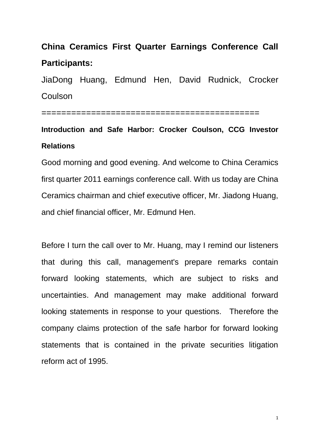# **China Ceramics First Quarter Earnings Conference Call Participants:**

JiaDong Huang, Edmund Hen, David Rudnick, Crocker Coulson

============================================

## **Introduction and Safe Harbor: Crocker Coulson, CCG Investor Relations**

Good morning and good evening. And welcome to China Ceramics first quarter 2011 earnings conference call. With us today are China Ceramics chairman and chief executive officer, Mr. Jiadong Huang, and chief financial officer, Mr. Edmund Hen.

Before I turn the call over to Mr. Huang, may I remind our listeners that during this call, management's prepare remarks contain forward looking statements, which are subject to risks and uncertainties. And management may make additional forward looking statements in response to your questions. Therefore the company claims protection of the safe harbor for forward looking statements that is contained in the private securities litigation reform act of 1995.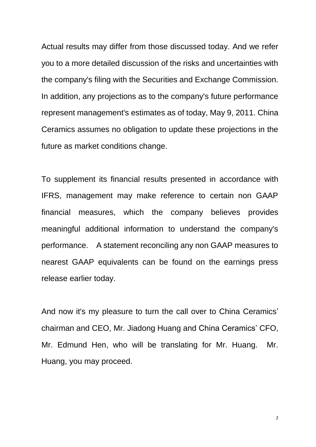Actual results may differ from those discussed today. And we refer you to a more detailed discussion of the risks and uncertainties with the company's filing with the Securities and Exchange Commission. In addition, any projections as to the company's future performance represent management's estimates as of today, May 9, 2011. China Ceramics assumes no obligation to update these projections in the future as market conditions change.

To supplement its financial results presented in accordance with IFRS, management may make reference to certain non GAAP financial measures, which the company believes provides meaningful additional information to understand the company's performance. A statement reconciling any non GAAP measures to nearest GAAP equivalents can be found on the earnings press release earlier today.

And now it's my pleasure to turn the call over to China Ceramics' chairman and CEO, Mr. Jiadong Huang and China Ceramics' CFO, Mr. Edmund Hen, who will be translating for Mr. Huang. Mr. Huang, you may proceed.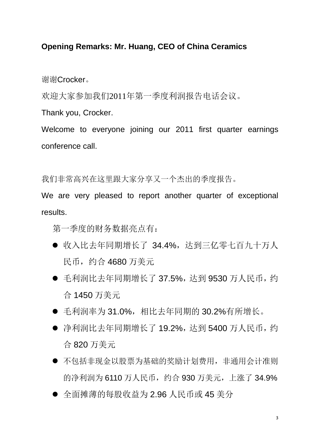## **Opening Remarks: Mr. Huang, CEO of China Ceramics**

谢谢Crocker。

欢迎大家参加我们2011年第一季度利润报告电话会议。

Thank you, Crocker.

Welcome to everyone joining our 2011 first quarter earnings conference call.

我们非常高兴在这里跟大家分享又一个杰出的季度报告。

We are very pleased to report another quarter of exceptional results.

第一季度的财务数据亮点有:

- 收入比去年同期增长了 34.4%,达到三亿零七百九十万人 民币,约合 4680 万美元
- 毛利润比去年同期增长了 37.5%, 达到 9530 万人民币, 约 合 1450 万美元
- 毛利润率为 31.0%,相比夫年同期的 30.2%有所增长。
- 净利润比去年同期增长了 19.2%, 达到 5400 万人民币, 约 合 820 万美元
- 不包括非现金以股票为基础的奖励计划费用,非通用会计准则 的净利润为 6110 万人民币,约合 930 万美元,上涨了 34.9%
- 全面摊薄的每股收益为 2.96 人民币或 45 美分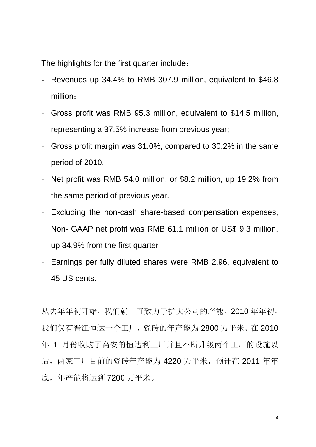The highlights for the first quarter include:

- Revenues up 34.4% to RMB 307.9 million, equivalent to \$46.8 million;
- Gross profit was RMB 95.3 million, equivalent to \$14.5 million, representing a 37.5% increase from previous year;
- Gross profit margin was 31.0%, compared to 30.2% in the same period of 2010.
- Net profit was RMB 54.0 million, or \$8.2 million, up 19.2% from the same period of previous year.
- Excluding the non-cash share-based compensation expenses, Non- GAAP net profit was RMB 61.1 million or US\$ 9.3 million, up 34.9% from the first quarter
- Earnings per fully diluted shares were RMB 2.96, equivalent to 45 US cents.

从去年年初开始,我们就一直致力于扩大公司的产能。2010年年初, 我们仅有晋江恒达一个工厂,瓷砖的年产能为 2800 万平米。在 2010 年 1 月份收购了高安的恒达利工厂并且不断升级两个工厂的设施以 后,两家工厂目前的瓷砖年产能为 4220 万平米,预计在 2011 年年 底,年产能将达到 7200 万平米。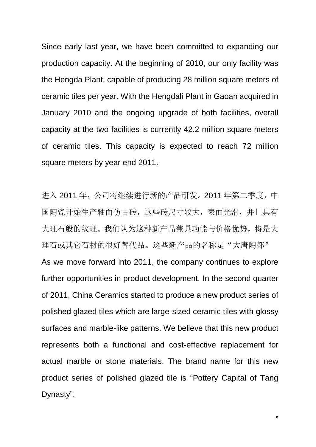Since early last year, we have been committed to expanding our production capacity. At the beginning of 2010, our only facility was the Hengda Plant, capable of producing 28 million square meters of ceramic tiles per year. With the Hengdali Plant in Gaoan acquired in January 2010 and the ongoing upgrade of both facilities, overall capacity at the two facilities is currently 42.2 million square meters of ceramic tiles. This capacity is expected to reach 72 million square meters by year end 2011.

进入 2011 年,公司将继续进行新的产品研发。2011 年第二季度,中 国陶瓷开始生产釉面仿古砖,这些砖尺寸较大,表面光滑,并且具有 大理石般的纹理。我们认为这种新产品兼具功能与价格优势,将是大 理石或其它石材的很好替代品。这些新产品的名称是"大唐陶都" As we move forward into 2011, the company continues to explore further opportunities in product development. In the second quarter of 2011, China Ceramics started to produce a new product series of polished glazed tiles which are large-sized ceramic tiles with glossy surfaces and marble-like patterns. We believe that this new product represents both a functional and cost-effective replacement for actual marble or stone materials. The brand name for this new product series of polished glazed tile is "Pottery Capital of Tang Dynasty".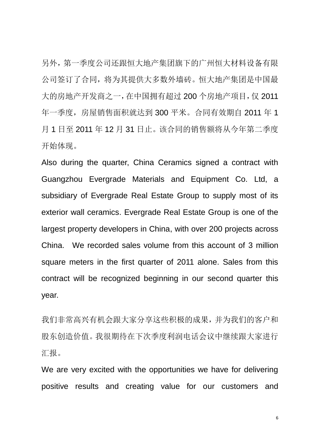另外,第一季度公司还跟恒大地产集团旗下的广州恒大材料设备有限 公司签订了合同,将为其提供大多数外墙砖。恒大地产集团是中国最 大的房地产开发商之一,在中国拥有超过 200 个房地产项目,仅 2011 年一季度,房屋销售面积就达到 300 平米。合同有效期自 2011 年 1 月 1 日至 2011 年 12 月 31 日止。该合同的销售额将从今年第二季度 开始体现。

Also during the quarter, China Ceramics signed a contract with Guangzhou Evergrade Materials and Equipment Co. Ltd, a subsidiary of Evergrade Real Estate Group to supply most of its exterior wall ceramics. Evergrade Real Estate Group is one of the largest property developers in China, with over 200 projects across China. We recorded sales volume from this account of 3 million square meters in the first quarter of 2011 alone. Sales from this contract will be recognized beginning in our second quarter this year.

我们非常高兴有机会跟大家分享这些积极的成果,并为我们的客户和 股东创造价值。我很期待在下次季度利润电话会议中继续跟大家进行 汇报。

We are very excited with the opportunities we have for delivering positive results and creating value for our customers and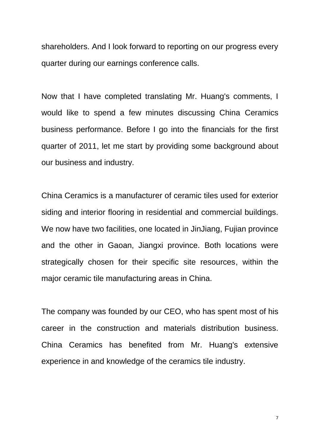shareholders. And I look forward to reporting on our progress every quarter during our earnings conference calls.

Now that I have completed translating Mr. Huang's comments, I would like to spend a few minutes discussing China Ceramics business performance. Before I go into the financials for the first quarter of 2011, let me start by providing some background about our business and industry.

China Ceramics is a manufacturer of ceramic tiles used for exterior siding and interior flooring in residential and commercial buildings. We now have two facilities, one located in JinJiang, Fujian province and the other in Gaoan, Jiangxi province. Both locations were strategically chosen for their specific site resources, within the major ceramic tile manufacturing areas in China.

The company was founded by our CEO, who has spent most of his career in the construction and materials distribution business. China Ceramics has benefited from Mr. Huang's extensive experience in and knowledge of the ceramics tile industry.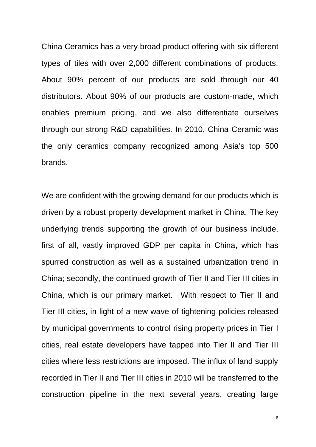China Ceramics has a very broad product offering with six different types of tiles with over 2,000 different combinations of products. About 90% percent of our products are sold through our 40 distributors. About 90% of our products are custom-made, which enables premium pricing, and we also differentiate ourselves through our strong R&D capabilities. In 2010, China Ceramic was the only ceramics company recognized among Asia's top 500 brands.

We are confident with the growing demand for our products which is driven by a robust property development market in China. The key underlying trends supporting the growth of our business include, first of all, vastly improved GDP per capita in China, which has spurred construction as well as a sustained urbanization trend in China; secondly, the continued growth of Tier II and Tier III cities in China, which is our primary market. With respect to Tier II and Tier III cities, in light of a new wave of tightening policies released by municipal governments to control rising property prices in Tier I cities, real estate developers have tapped into Tier II and Tier III cities where less restrictions are imposed. The influx of land supply recorded in Tier II and Tier III cities in 2010 will be transferred to the construction pipeline in the next several years, creating large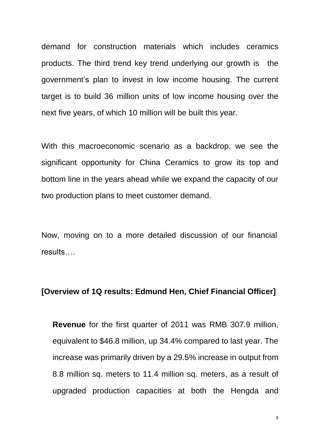demand for construction materials which includes ceramics products. The third trend key trend underlying our growth is the government's plan to invest in low income housing. The current target is to build 36 million units of low income housing over the next five years, of which 10 million will be built this year.

With this macroeconomic scenario as a backdrop, we see the significant opportunity for China Ceramics to grow its top and bottom line in the years ahead while we expand the capacity of our two production plans to meet customer demand.

Now, moving on to a more detailed discussion of our financial results….

### **[Overview of 1Q results: Edmund Hen, Chief Financial Officer]**

**Revenue** for the first quarter of 2011 was RMB 307.9 million, equivalent to \$46.8 million, up 34.4% compared to last year. The increase was primarily driven by a 29.5% increase in output from 8.8 million sq. meters to 11.4 million sq. meters, as a result of upgraded production capacities at both the Hengda and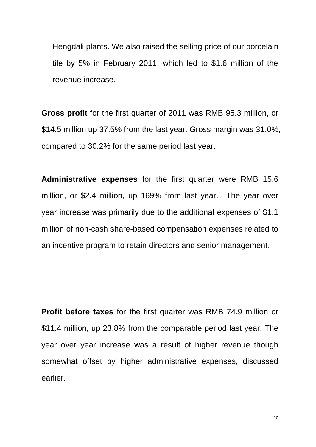Hengdali plants. We also raised the selling price of our porcelain tile by 5% in February 2011, which led to \$1.6 million of the revenue increase.

**Gross profit** for the first quarter of 2011 was RMB 95.3 million, or \$14.5 million up 37.5% from the last year. Gross margin was 31.0%, compared to 30.2% for the same period last year.

**Administrative expenses** for the first quarter were RMB 15.6 million, or \$2.4 million, up 169% from last year. The year over year increase was primarily due to the additional expenses of \$1.1 million of non-cash share-based compensation expenses related to an incentive program to retain directors and senior management.

**Profit before taxes** for the first quarter was RMB 74.9 million or \$11.4 million, up 23.8% from the comparable period last year. The year over year increase was a result of higher revenue though somewhat offset by higher administrative expenses, discussed earlier.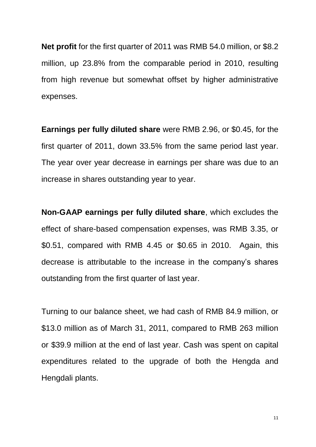**Net profit** for the first quarter of 2011 was RMB 54.0 million, or \$8.2 million, up 23.8% from the comparable period in 2010, resulting from high revenue but somewhat offset by higher administrative expenses.

**Earnings per fully diluted share** were RMB 2.96, or \$0.45, for the first quarter of 2011, down 33.5% from the same period last year. The year over year decrease in earnings per share was due to an increase in shares outstanding year to year.

**Non-GAAP earnings per fully diluted share**, which excludes the effect of share-based compensation expenses, was RMB 3.35, or \$0.51, compared with RMB 4.45 or \$0.65 in 2010. Again, this decrease is attributable to the increase in the company's shares outstanding from the first quarter of last year.

Turning to our balance sheet, we had cash of RMB 84.9 million, or \$13.0 million as of March 31, 2011, compared to RMB 263 million or \$39.9 million at the end of last year. Cash was spent on capital expenditures related to the upgrade of both the Hengda and Hengdali plants.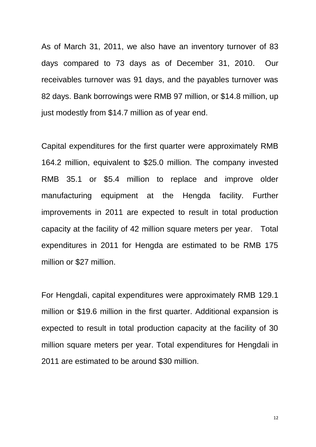As of March 31, 2011, we also have an inventory turnover of 83 days compared to 73 days as of December 31, 2010. Our receivables turnover was 91 days, and the payables turnover was 82 days. Bank borrowings were RMB 97 million, or \$14.8 million, up just modestly from \$14.7 million as of year end.

Capital expenditures for the first quarter were approximately RMB 164.2 million, equivalent to \$25.0 million. The company invested RMB 35.1 or \$5.4 million to replace and improve older manufacturing equipment at the Hengda facility. Further improvements in 2011 are expected to result in total production capacity at the facility of 42 million square meters per year. Total expenditures in 2011 for Hengda are estimated to be RMB 175 million or \$27 million.

For Hengdali, capital expenditures were approximately RMB 129.1 million or \$19.6 million in the first quarter. Additional expansion is expected to result in total production capacity at the facility of 30 million square meters per year. Total expenditures for Hengdali in 2011 are estimated to be around \$30 million.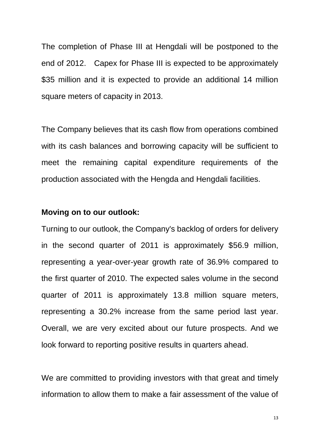The completion of Phase III at Hengdali will be postponed to the end of 2012. Capex for Phase III is expected to be approximately \$35 million and it is expected to provide an additional 14 million square meters of capacity in 2013.

The Company believes that its cash flow from operations combined with its cash balances and borrowing capacity will be sufficient to meet the remaining capital expenditure requirements of the production associated with the Hengda and Hengdali facilities.

### **Moving on to our outlook:**

Turning to our outlook, the Company's backlog of orders for delivery in the second quarter of 2011 is approximately \$56.9 million, representing a year-over-year growth rate of 36.9% compared to the first quarter of 2010. The expected sales volume in the second quarter of 2011 is approximately 13.8 million square meters, representing a 30.2% increase from the same period last year. Overall, we are very excited about our future prospects. And we look forward to reporting positive results in quarters ahead.

We are committed to providing investors with that great and timely information to allow them to make a fair assessment of the value of